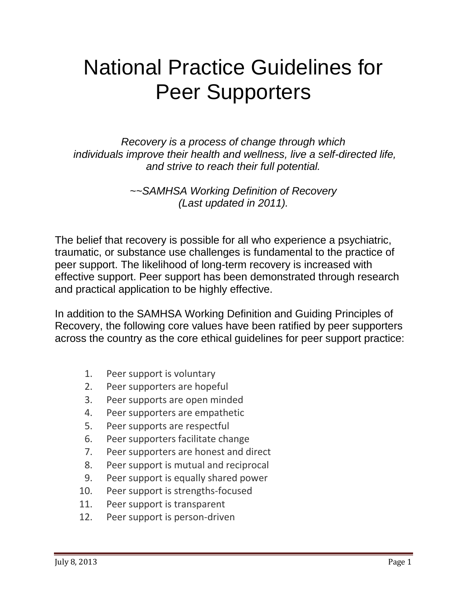# National Practice Guidelines for Peer Supporters

*Recovery is a process of change through which individuals improve their health and wellness, live a self-directed life, and strive to reach their full potential.* 

> *~~SAMHSA Working Definition of Recovery (Last updated in 2011).*

The belief that recovery is possible for all who experience a psychiatric, traumatic, or substance use challenges is fundamental to the practice of peer support. The likelihood of long-term recovery is increased with effective support. Peer support has been demonstrated through research and practical application to be highly effective.

In addition to the SAMHSA Working Definition and Guiding Principles of Recovery, the following core values have been ratified by peer supporters across the country as the core ethical guidelines for peer support practice:

- 1. Peer support is voluntary
- 2. Peer supporters are hopeful
- 3. Peer supports are open minded
- 4. Peer supporters are empathetic
- 5. Peer supports are respectful
- 6. Peer supporters facilitate change
- 7. Peer supporters are honest and direct
- 8. Peer support is mutual and reciprocal
- 9. Peer support is equally shared power
- 10. Peer support is strengths-focused
- 11. Peer support is transparent
- 12. Peer support is person-driven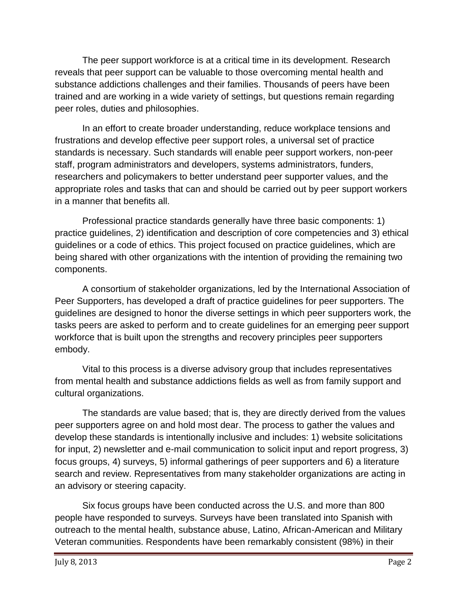The peer support workforce is at a critical time in its development. Research reveals that peer support can be valuable to those overcoming mental health and substance addictions challenges and their families. Thousands of peers have been trained and are working in a wide variety of settings, but questions remain regarding peer roles, duties and philosophies.

In an effort to create broader understanding, reduce workplace tensions and frustrations and develop effective peer support roles, a universal set of practice standards is necessary. Such standards will enable peer support workers, non-peer staff, program administrators and developers, systems administrators, funders, researchers and policymakers to better understand peer supporter values, and the appropriate roles and tasks that can and should be carried out by peer support workers in a manner that benefits all.

Professional practice standards generally have three basic components: 1) practice guidelines, 2) identification and description of core competencies and 3) ethical guidelines or a code of ethics. This project focused on practice guidelines, which are being shared with other organizations with the intention of providing the remaining two components.

A consortium of stakeholder organizations, led by the International Association of Peer Supporters, has developed a draft of practice guidelines for peer supporters. The guidelines are designed to honor the diverse settings in which peer supporters work, the tasks peers are asked to perform and to create guidelines for an emerging peer support workforce that is built upon the strengths and recovery principles peer supporters embody.

Vital to this process is a diverse advisory group that includes representatives from mental health and substance addictions fields as well as from family support and cultural organizations.

The standards are value based; that is, they are directly derived from the values peer supporters agree on and hold most dear. The process to gather the values and develop these standards is intentionally inclusive and includes: 1) website solicitations for input, 2) newsletter and e-mail communication to solicit input and report progress, 3) focus groups, 4) surveys, 5) informal gatherings of peer supporters and 6) a literature search and review. Representatives from many stakeholder organizations are acting in an advisory or steering capacity.

Six focus groups have been conducted across the U.S. and more than 800 people have responded to surveys. Surveys have been translated into Spanish with outreach to the mental health, substance abuse, Latino, African-American and Military Veteran communities. Respondents have been remarkably consistent (98%) in their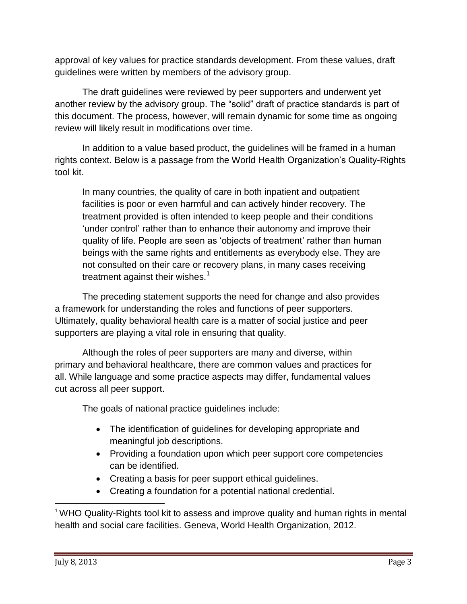approval of key values for practice standards development. From these values, draft guidelines were written by members of the advisory group.

The draft guidelines were reviewed by peer supporters and underwent yet another review by the advisory group. The "solid" draft of practice standards is part of this document. The process, however, will remain dynamic for some time as ongoing review will likely result in modifications over time.

In addition to a value based product, the guidelines will be framed in a human rights context. Below is a passage from the World Health Organization's Quality-Rights tool kit.

In many countries, the quality of care in both inpatient and outpatient facilities is poor or even harmful and can actively hinder recovery. The treatment provided is often intended to keep people and their conditions 'under control' rather than to enhance their autonomy and improve their quality of life. People are seen as 'objects of treatment' rather than human beings with the same rights and entitlements as everybody else. They are not consulted on their care or recovery plans, in many cases receiving treatment against their wishes. $<sup>1</sup>$ </sup>

The preceding statement supports the need for change and also provides a framework for understanding the roles and functions of peer supporters. Ultimately, quality behavioral health care is a matter of social justice and peer supporters are playing a vital role in ensuring that quality.

Although the roles of peer supporters are many and diverse, within primary and behavioral healthcare, there are common values and practices for all. While language and some practice aspects may differ, fundamental values cut across all peer support.

The goals of national practice guidelines include:

- The identification of guidelines for developing appropriate and meaningful job descriptions.
- Providing a foundation upon which peer support core competencies can be identified.
- Creating a basis for peer support ethical guidelines.
- Creating a foundation for a potential national credential.

l

<sup>&</sup>lt;sup>1</sup> WHO Quality-Rights tool kit to assess and improve quality and human rights in mental health and social care facilities. Geneva, World Health Organization, 2012.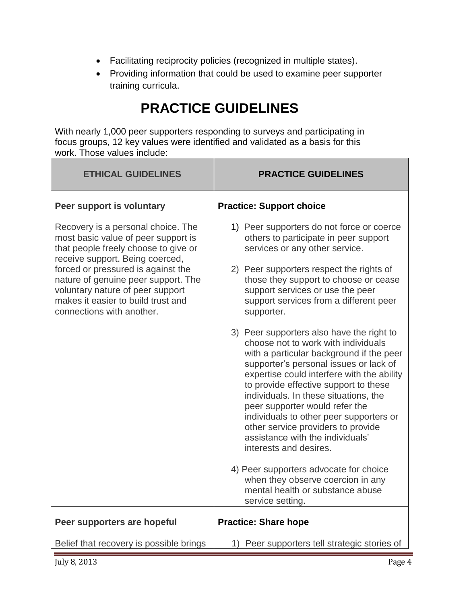- Facilitating reciprocity policies (recognized in multiple states).
- Providing information that could be used to examine peer supporter training curricula.

### **PRACTICE GUIDELINES**

With nearly 1,000 peer supporters responding to surveys and participating in focus groups, 12 key values were identified and validated as a basis for this work. Those values include:

| <b>ETHICAL GUIDELINES</b>                                                                                                                                                                                                                                                                                                                | <b>PRACTICE GUIDELINES</b>                                                                                                                                                                                                                                                                                                                                                                                                                                                                                                                                                                                                                        |
|------------------------------------------------------------------------------------------------------------------------------------------------------------------------------------------------------------------------------------------------------------------------------------------------------------------------------------------|---------------------------------------------------------------------------------------------------------------------------------------------------------------------------------------------------------------------------------------------------------------------------------------------------------------------------------------------------------------------------------------------------------------------------------------------------------------------------------------------------------------------------------------------------------------------------------------------------------------------------------------------------|
| Peer support is voluntary                                                                                                                                                                                                                                                                                                                | <b>Practice: Support choice</b>                                                                                                                                                                                                                                                                                                                                                                                                                                                                                                                                                                                                                   |
| Recovery is a personal choice. The<br>most basic value of peer support is<br>that people freely choose to give or<br>receive support. Being coerced,<br>forced or pressured is against the<br>nature of genuine peer support. The<br>voluntary nature of peer support<br>makes it easier to build trust and<br>connections with another. | 1) Peer supporters do not force or coerce<br>others to participate in peer support<br>services or any other service.<br>2) Peer supporters respect the rights of<br>those they support to choose or cease<br>support services or use the peer<br>support services from a different peer<br>supporter.<br>3) Peer supporters also have the right to<br>choose not to work with individuals<br>with a particular background if the peer<br>supporter's personal issues or lack of<br>expertise could interfere with the ability<br>to provide effective support to these<br>individuals. In these situations, the<br>peer supporter would refer the |
|                                                                                                                                                                                                                                                                                                                                          | individuals to other peer supporters or<br>other service providers to provide<br>assistance with the individuals'<br>interests and desires.<br>4) Peer supporters advocate for choice<br>when they observe coercion in any<br>mental health or substance abuse<br>service setting.                                                                                                                                                                                                                                                                                                                                                                |
| Peer supporters are hopeful                                                                                                                                                                                                                                                                                                              | <b>Practice: Share hope</b>                                                                                                                                                                                                                                                                                                                                                                                                                                                                                                                                                                                                                       |
| Belief that recovery is possible brings                                                                                                                                                                                                                                                                                                  | 1) Peer supporters tell strategic stories of                                                                                                                                                                                                                                                                                                                                                                                                                                                                                                                                                                                                      |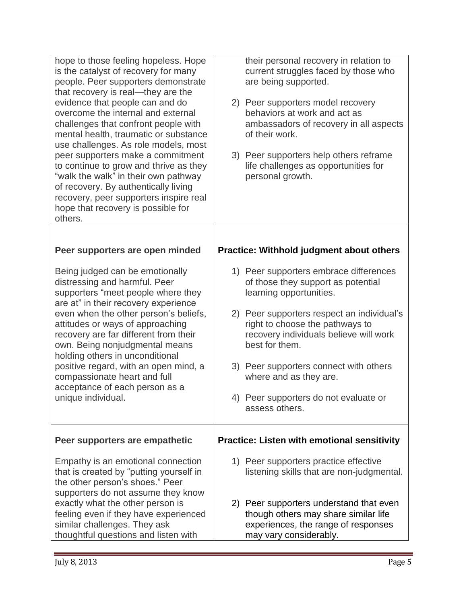| hope to those feeling hopeless. Hope<br>is the catalyst of recovery for many<br>people. Peer supporters demonstrate<br>that recovery is real-they are the<br>evidence that people can and do<br>overcome the internal and external<br>challenges that confront people with<br>mental health, traumatic or substance<br>use challenges. As role models, most<br>peer supporters make a commitment<br>to continue to grow and thrive as they<br>"walk the walk" in their own pathway<br>of recovery. By authentically living<br>recovery, peer supporters inspire real<br>hope that recovery is possible for<br>others. | their personal recovery in relation to<br>current struggles faced by those who<br>are being supported.<br>2) Peer supporters model recovery<br>behaviors at work and act as<br>ambassadors of recovery in all aspects<br>of their work.<br>3) Peer supporters help others reframe<br>life challenges as opportunities for<br>personal growth. |
|-----------------------------------------------------------------------------------------------------------------------------------------------------------------------------------------------------------------------------------------------------------------------------------------------------------------------------------------------------------------------------------------------------------------------------------------------------------------------------------------------------------------------------------------------------------------------------------------------------------------------|-----------------------------------------------------------------------------------------------------------------------------------------------------------------------------------------------------------------------------------------------------------------------------------------------------------------------------------------------|
|                                                                                                                                                                                                                                                                                                                                                                                                                                                                                                                                                                                                                       |                                                                                                                                                                                                                                                                                                                                               |
| Peer supporters are open minded                                                                                                                                                                                                                                                                                                                                                                                                                                                                                                                                                                                       | <b>Practice: Withhold judgment about others</b>                                                                                                                                                                                                                                                                                               |
| Being judged can be emotionally<br>distressing and harmful. Peer<br>supporters "meet people where they<br>are at" in their recovery experience<br>even when the other person's beliefs,<br>attitudes or ways of approaching<br>recovery are far different from their<br>own. Being nonjudgmental means                                                                                                                                                                                                                                                                                                                | 1) Peer supporters embrace differences<br>of those they support as potential<br>learning opportunities.                                                                                                                                                                                                                                       |
|                                                                                                                                                                                                                                                                                                                                                                                                                                                                                                                                                                                                                       | 2) Peer supporters respect an individual's<br>right to choose the pathways to<br>recovery individuals believe will work<br>best for them.                                                                                                                                                                                                     |
| holding others in unconditional<br>positive regard, with an open mind, a<br>compassionate heart and full                                                                                                                                                                                                                                                                                                                                                                                                                                                                                                              | 3) Peer supporters connect with others<br>where and as they are.                                                                                                                                                                                                                                                                              |
| acceptance of each person as a<br>unique individual.                                                                                                                                                                                                                                                                                                                                                                                                                                                                                                                                                                  | 4) Peer supporters do not evaluate or<br>assess others.                                                                                                                                                                                                                                                                                       |
| Peer supporters are empathetic                                                                                                                                                                                                                                                                                                                                                                                                                                                                                                                                                                                        | <b>Practice: Listen with emotional sensitivity</b>                                                                                                                                                                                                                                                                                            |
| Empathy is an emotional connection<br>that is created by "putting yourself in<br>the other person's shoes." Peer                                                                                                                                                                                                                                                                                                                                                                                                                                                                                                      | 1) Peer supporters practice effective<br>listening skills that are non-judgmental.                                                                                                                                                                                                                                                            |
| supporters do not assume they know<br>exactly what the other person is<br>feeling even if they have experienced<br>similar challenges. They ask<br>thoughtful questions and listen with                                                                                                                                                                                                                                                                                                                                                                                                                               | 2) Peer supporters understand that even<br>though others may share similar life<br>experiences, the range of responses<br>may vary considerably.                                                                                                                                                                                              |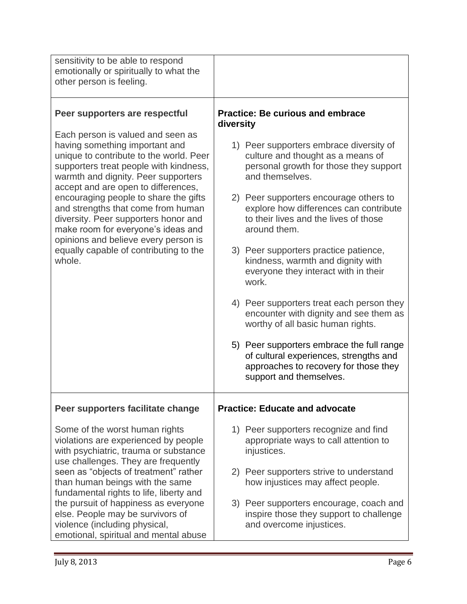| sensitivity to be able to respond<br>emotionally or spiritually to what the<br>other person is feeling.                                                                                                                                                                                                                                                                                                                                                                                         |                                                                                                                                                         |
|-------------------------------------------------------------------------------------------------------------------------------------------------------------------------------------------------------------------------------------------------------------------------------------------------------------------------------------------------------------------------------------------------------------------------------------------------------------------------------------------------|---------------------------------------------------------------------------------------------------------------------------------------------------------|
| Peer supporters are respectful                                                                                                                                                                                                                                                                                                                                                                                                                                                                  | <b>Practice: Be curious and embrace</b><br>diversity                                                                                                    |
| Each person is valued and seen as<br>having something important and<br>unique to contribute to the world. Peer<br>supporters treat people with kindness,<br>warmth and dignity. Peer supporters<br>accept and are open to differences,<br>encouraging people to share the gifts<br>and strengths that come from human<br>diversity. Peer supporters honor and<br>make room for everyone's ideas and<br>opinions and believe every person is<br>equally capable of contributing to the<br>whole. | 1) Peer supporters embrace diversity of<br>culture and thought as a means of<br>personal growth for those they support<br>and themselves.               |
|                                                                                                                                                                                                                                                                                                                                                                                                                                                                                                 | 2) Peer supporters encourage others to<br>explore how differences can contribute<br>to their lives and the lives of those<br>around them.               |
|                                                                                                                                                                                                                                                                                                                                                                                                                                                                                                 | 3) Peer supporters practice patience,<br>kindness, warmth and dignity with<br>everyone they interact with in their<br>work.                             |
|                                                                                                                                                                                                                                                                                                                                                                                                                                                                                                 | 4) Peer supporters treat each person they<br>encounter with dignity and see them as<br>worthy of all basic human rights.                                |
|                                                                                                                                                                                                                                                                                                                                                                                                                                                                                                 | 5) Peer supporters embrace the full range<br>of cultural experiences, strengths and<br>approaches to recovery for those they<br>support and themselves. |
| Peer supporters facilitate change                                                                                                                                                                                                                                                                                                                                                                                                                                                               | <b>Practice: Educate and advocate</b>                                                                                                                   |
| Some of the worst human rights<br>violations are experienced by people<br>with psychiatric, trauma or substance<br>use challenges. They are frequently                                                                                                                                                                                                                                                                                                                                          | 1) Peer supporters recognize and find<br>appropriate ways to call attention to<br>injustices.                                                           |
| seen as "objects of treatment" rather<br>than human beings with the same<br>fundamental rights to life, liberty and                                                                                                                                                                                                                                                                                                                                                                             | 2) Peer supporters strive to understand<br>how injustices may affect people.                                                                            |
| the pursuit of happiness as everyone<br>else. People may be survivors of<br>violence (including physical,<br>emotional, spiritual and mental abuse                                                                                                                                                                                                                                                                                                                                              | 3) Peer supporters encourage, coach and<br>inspire those they support to challenge<br>and overcome injustices.                                          |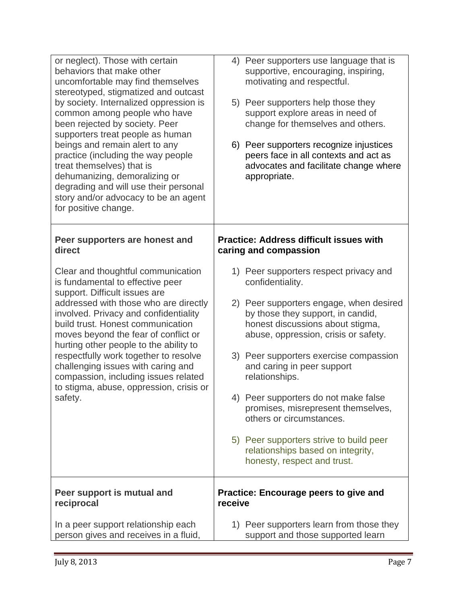| or neglect). Those with certain<br>behaviors that make other<br>uncomfortable may find themselves<br>stereotyped, stigmatized and outcast<br>by society. Internalized oppression is<br>common among people who have<br>been rejected by society. Peer<br>supporters treat people as human<br>beings and remain alert to any<br>practice (including the way people<br>treat themselves) that is<br>dehumanizing, demoralizing or<br>degrading and will use their personal<br>story and/or advocacy to be an agent<br>for positive change. | Peer supporters use language that is<br>4)<br>supportive, encouraging, inspiring,<br>motivating and respectful.<br>5) Peer supporters help those they<br>support explore areas in need of<br>change for themselves and others.<br>6) Peer supporters recognize injustices<br>peers face in all contexts and act as<br>advocates and facilitate change where<br>appropriate. |
|------------------------------------------------------------------------------------------------------------------------------------------------------------------------------------------------------------------------------------------------------------------------------------------------------------------------------------------------------------------------------------------------------------------------------------------------------------------------------------------------------------------------------------------|-----------------------------------------------------------------------------------------------------------------------------------------------------------------------------------------------------------------------------------------------------------------------------------------------------------------------------------------------------------------------------|
| Peer supporters are honest and<br>direct                                                                                                                                                                                                                                                                                                                                                                                                                                                                                                 | <b>Practice: Address difficult issues with</b><br>caring and compassion                                                                                                                                                                                                                                                                                                     |
| Clear and thoughtful communication<br>is fundamental to effective peer<br>support. Difficult issues are                                                                                                                                                                                                                                                                                                                                                                                                                                  | 1) Peer supporters respect privacy and<br>confidentiality.                                                                                                                                                                                                                                                                                                                  |
| addressed with those who are directly<br>involved. Privacy and confidentiality<br>build trust. Honest communication<br>moves beyond the fear of conflict or<br>hurting other people to the ability to<br>respectfully work together to resolve<br>challenging issues with caring and<br>compassion, including issues related<br>to stigma, abuse, oppression, crisis or<br>safety.                                                                                                                                                       | Peer supporters engage, when desired<br>2)<br>by those they support, in candid,<br>honest discussions about stigma,<br>abuse, oppression, crisis or safety.                                                                                                                                                                                                                 |
|                                                                                                                                                                                                                                                                                                                                                                                                                                                                                                                                          | 3) Peer supporters exercise compassion<br>and caring in peer support<br>relationships.                                                                                                                                                                                                                                                                                      |
|                                                                                                                                                                                                                                                                                                                                                                                                                                                                                                                                          | 4) Peer supporters do not make false<br>promises, misrepresent themselves,<br>others or circumstances.                                                                                                                                                                                                                                                                      |
|                                                                                                                                                                                                                                                                                                                                                                                                                                                                                                                                          | 5) Peer supporters strive to build peer<br>relationships based on integrity,<br>honesty, respect and trust.                                                                                                                                                                                                                                                                 |
| Peer support is mutual and<br>reciprocal                                                                                                                                                                                                                                                                                                                                                                                                                                                                                                 | Practice: Encourage peers to give and<br>receive                                                                                                                                                                                                                                                                                                                            |
| In a peer support relationship each<br>person gives and receives in a fluid,                                                                                                                                                                                                                                                                                                                                                                                                                                                             | 1) Peer supporters learn from those they<br>support and those supported learn                                                                                                                                                                                                                                                                                               |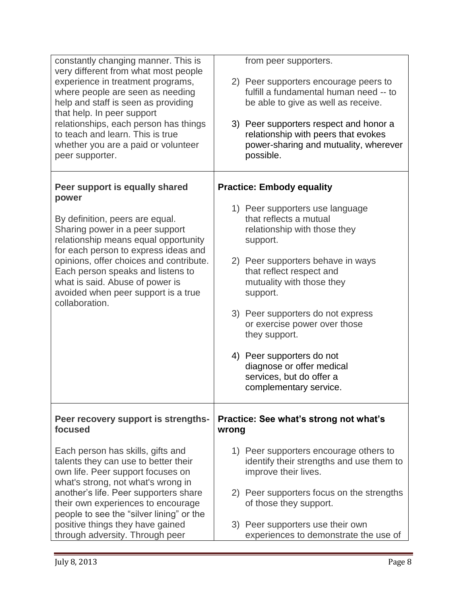| constantly changing manner. This is<br>very different from what most people<br>experience in treatment programs,<br>where people are seen as needing<br>help and staff is seen as providing<br>that help. In peer support<br>relationships, each person has things<br>to teach and learn. This is true<br>whether you are a paid or volunteer<br>peer supporter.          | from peer supporters.<br>2) Peer supporters encourage peers to<br>fulfill a fundamental human need -- to<br>be able to give as well as receive.<br>3) Peer supporters respect and honor a<br>relationship with peers that evokes<br>power-sharing and mutuality, wherever<br>possible.                                                                                                                                                                    |
|---------------------------------------------------------------------------------------------------------------------------------------------------------------------------------------------------------------------------------------------------------------------------------------------------------------------------------------------------------------------------|-----------------------------------------------------------------------------------------------------------------------------------------------------------------------------------------------------------------------------------------------------------------------------------------------------------------------------------------------------------------------------------------------------------------------------------------------------------|
| Peer support is equally shared<br>power<br>By definition, peers are equal.<br>Sharing power in a peer support<br>relationship means equal opportunity<br>for each person to express ideas and<br>opinions, offer choices and contribute.<br>Each person speaks and listens to<br>what is said. Abuse of power is<br>avoided when peer support is a true<br>collaboration. | <b>Practice: Embody equality</b><br>1) Peer supporters use language<br>that reflects a mutual<br>relationship with those they<br>support.<br>2) Peer supporters behave in ways<br>that reflect respect and<br>mutuality with those they<br>support.<br>3) Peer supporters do not express<br>or exercise power over those<br>they support.<br>4) Peer supporters do not<br>diagnose or offer medical<br>services, but do offer a<br>complementary service. |
| Peer recovery support is strengths-<br>focused                                                                                                                                                                                                                                                                                                                            | Practice: See what's strong not what's<br>wrong                                                                                                                                                                                                                                                                                                                                                                                                           |
| Each person has skills, gifts and<br>talents they can use to better their<br>own life. Peer support focuses on<br>what's strong, not what's wrong in<br>another's life. Peer supporters share<br>their own experiences to encourage                                                                                                                                       | 1) Peer supporters encourage others to<br>identify their strengths and use them to<br>improve their lives.<br>2) Peer supporters focus on the strengths<br>of those they support.                                                                                                                                                                                                                                                                         |
| people to see the "silver lining" or the<br>positive things they have gained<br>through adversity. Through peer                                                                                                                                                                                                                                                           | 3) Peer supporters use their own<br>experiences to demonstrate the use of                                                                                                                                                                                                                                                                                                                                                                                 |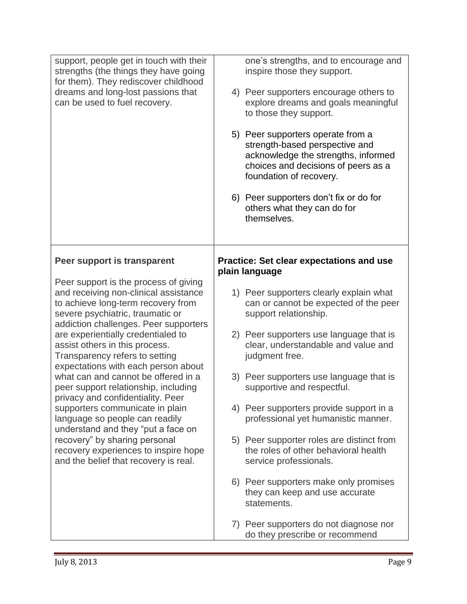| support, people get in touch with their<br>strengths (the things they have going<br>for them). They rediscover childhood<br>dreams and long-lost passions that<br>can be used to fuel recovery.                                                                                                                                                                                                                                                                                                                                                                                                                                                                                                     | one's strengths, and to encourage and<br>inspire those they support.<br>4) Peer supporters encourage others to<br>explore dreams and goals meaningful<br>to those they support. |
|-----------------------------------------------------------------------------------------------------------------------------------------------------------------------------------------------------------------------------------------------------------------------------------------------------------------------------------------------------------------------------------------------------------------------------------------------------------------------------------------------------------------------------------------------------------------------------------------------------------------------------------------------------------------------------------------------------|---------------------------------------------------------------------------------------------------------------------------------------------------------------------------------|
|                                                                                                                                                                                                                                                                                                                                                                                                                                                                                                                                                                                                                                                                                                     | 5) Peer supporters operate from a<br>strength-based perspective and<br>acknowledge the strengths, informed<br>choices and decisions of peers as a<br>foundation of recovery.    |
|                                                                                                                                                                                                                                                                                                                                                                                                                                                                                                                                                                                                                                                                                                     | 6) Peer supporters don't fix or do for<br>others what they can do for<br>themselves.                                                                                            |
| Peer support is transparent                                                                                                                                                                                                                                                                                                                                                                                                                                                                                                                                                                                                                                                                         | <b>Practice: Set clear expectations and use</b><br>plain language                                                                                                               |
| Peer support is the process of giving<br>and receiving non-clinical assistance<br>to achieve long-term recovery from<br>severe psychiatric, traumatic or<br>addiction challenges. Peer supporters<br>are experientially credentialed to<br>assist others in this process.<br>Transparency refers to setting<br>expectations with each person about<br>what can and cannot be offered in a<br>peer support relationship, including<br>privacy and confidentiality. Peer<br>supporters communicate in plain<br>language so people can readily<br>understand and they "put a face on<br>recovery" by sharing personal<br>recovery experiences to inspire hope<br>and the belief that recovery is real. | 1) Peer supporters clearly explain what<br>can or cannot be expected of the peer<br>support relationship.                                                                       |
|                                                                                                                                                                                                                                                                                                                                                                                                                                                                                                                                                                                                                                                                                                     | 2) Peer supporters use language that is<br>clear, understandable and value and<br>judgment free.                                                                                |
|                                                                                                                                                                                                                                                                                                                                                                                                                                                                                                                                                                                                                                                                                                     | 3) Peer supporters use language that is<br>supportive and respectful.                                                                                                           |
|                                                                                                                                                                                                                                                                                                                                                                                                                                                                                                                                                                                                                                                                                                     | 4) Peer supporters provide support in a<br>professional yet humanistic manner.                                                                                                  |
|                                                                                                                                                                                                                                                                                                                                                                                                                                                                                                                                                                                                                                                                                                     | 5) Peer supporter roles are distinct from<br>the roles of other behavioral health<br>service professionals.                                                                     |
|                                                                                                                                                                                                                                                                                                                                                                                                                                                                                                                                                                                                                                                                                                     | 6) Peer supporters make only promises<br>they can keep and use accurate<br>statements.                                                                                          |
|                                                                                                                                                                                                                                                                                                                                                                                                                                                                                                                                                                                                                                                                                                     | 7) Peer supporters do not diagnose nor<br>do they prescribe or recommend                                                                                                        |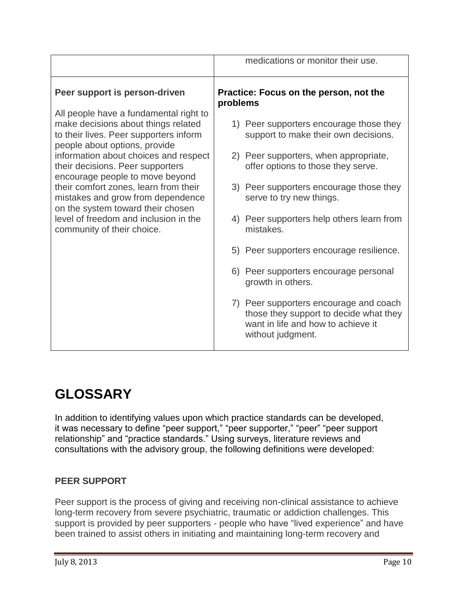|                                                                                                                                                          | medications or monitor their use.                                                                                                           |
|----------------------------------------------------------------------------------------------------------------------------------------------------------|---------------------------------------------------------------------------------------------------------------------------------------------|
| Peer support is person-driven                                                                                                                            | Practice: Focus on the person, not the<br>problems                                                                                          |
| All people have a fundamental right to<br>make decisions about things related<br>to their lives. Peer supporters inform<br>people about options, provide | 1) Peer supporters encourage those they<br>support to make their own decisions.                                                             |
| information about choices and respect<br>their decisions. Peer supporters<br>encourage people to move beyond                                             | 2) Peer supporters, when appropriate,<br>offer options to those they serve.                                                                 |
| their comfort zones, learn from their<br>mistakes and grow from dependence<br>on the system toward their chosen                                          | 3) Peer supporters encourage those they<br>serve to try new things.                                                                         |
| level of freedom and inclusion in the<br>community of their choice.                                                                                      | 4) Peer supporters help others learn from<br>mistakes.                                                                                      |
|                                                                                                                                                          | 5) Peer supporters encourage resilience.                                                                                                    |
|                                                                                                                                                          | 6) Peer supporters encourage personal<br>growth in others.                                                                                  |
|                                                                                                                                                          | 7) Peer supporters encourage and coach<br>those they support to decide what they<br>want in life and how to achieve it<br>without judgment. |

## **GLOSSARY**

In addition to identifying values upon which practice standards can be developed, it was necessary to define "peer support," "peer supporter," "peer" "peer support relationship" and "practice standards." Using surveys, literature reviews and consultations with the advisory group, the following definitions were developed:

#### **PEER SUPPORT**

Peer support is the process of giving and receiving non-clinical assistance to achieve long-term recovery from severe psychiatric, traumatic or addiction challenges. This support is provided by peer supporters - people who have "lived experience" and have been trained to assist others in initiating and maintaining long-term recovery and